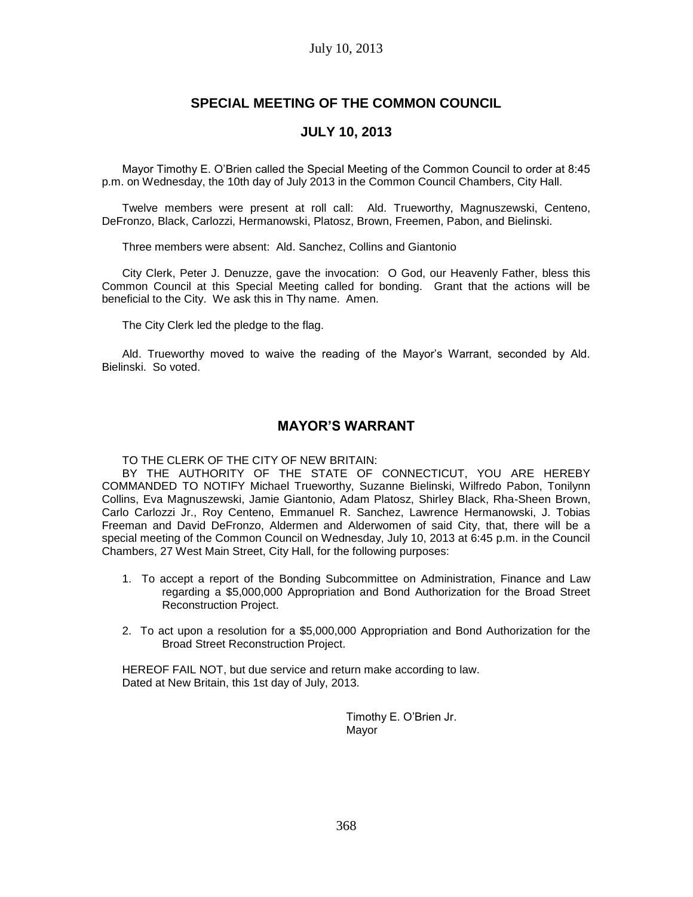### July 10, 2013

# **SPECIAL MEETING OF THE COMMON COUNCIL**

### **JULY 10, 2013**

Mayor Timothy E. O'Brien called the Special Meeting of the Common Council to order at 8:45 p.m. on Wednesday, the 10th day of July 2013 in the Common Council Chambers, City Hall.

Twelve members were present at roll call: Ald. Trueworthy, Magnuszewski, Centeno, DeFronzo, Black, Carlozzi, Hermanowski, Platosz, Brown, Freemen, Pabon, and Bielinski.

Three members were absent: Ald. Sanchez, Collins and Giantonio

City Clerk, Peter J. Denuzze, gave the invocation: O God, our Heavenly Father, bless this Common Council at this Special Meeting called for bonding. Grant that the actions will be beneficial to the City. We ask this in Thy name. Amen.

The City Clerk led the pledge to the flag.

Ald. Trueworthy moved to waive the reading of the Mayor's Warrant, seconded by Ald. Bielinski. So voted.

## **MAYOR'S WARRANT**

TO THE CLERK OF THE CITY OF NEW BRITAIN:

BY THE AUTHORITY OF THE STATE OF CONNECTICUT, YOU ARE HEREBY COMMANDED TO NOTIFY Michael Trueworthy, Suzanne Bielinski, Wilfredo Pabon, Tonilynn Collins, Eva Magnuszewski, Jamie Giantonio, Adam Platosz, Shirley Black, Rha-Sheen Brown, Carlo Carlozzi Jr., Roy Centeno, Emmanuel R. Sanchez, Lawrence Hermanowski, J. Tobias Freeman and David DeFronzo, Aldermen and Alderwomen of said City, that, there will be a special meeting of the Common Council on Wednesday, July 10, 2013 at 6:45 p.m. in the Council Chambers, 27 West Main Street, City Hall, for the following purposes:

- 1. To accept a report of the Bonding Subcommittee on Administration, Finance and Law regarding a \$5,000,000 Appropriation and Bond Authorization for the Broad Street Reconstruction Project.
- 2. To act upon a resolution for a \$5,000,000 Appropriation and Bond Authorization for the Broad Street Reconstruction Project.

HEREOF FAIL NOT, but due service and return make according to law. Dated at New Britain, this 1st day of July, 2013.

> Timothy E. O'Brien Jr. Mayor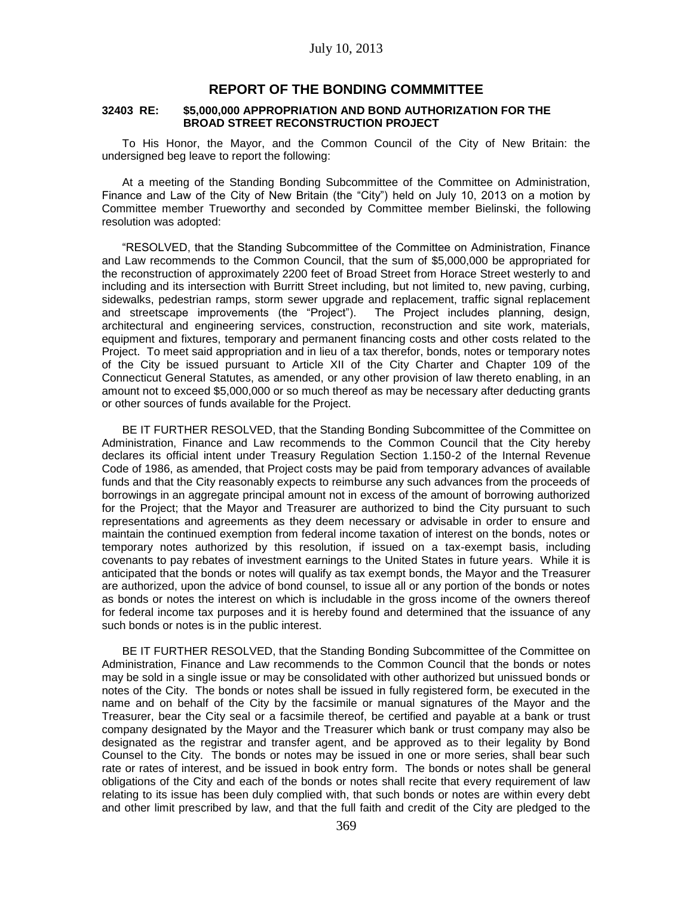### **REPORT OF THE BONDING COMMMITTEE**

#### **32403 RE: \$5,000,000 APPROPRIATION AND BOND AUTHORIZATION FOR THE BROAD STREET RECONSTRUCTION PROJECT**

To His Honor, the Mayor, and the Common Council of the City of New Britain: the undersigned beg leave to report the following:

At a meeting of the Standing Bonding Subcommittee of the Committee on Administration, Finance and Law of the City of New Britain (the "City") held on July 10, 2013 on a motion by Committee member Trueworthy and seconded by Committee member Bielinski, the following resolution was adopted:

"RESOLVED, that the Standing Subcommittee of the Committee on Administration, Finance and Law recommends to the Common Council, that the sum of \$5,000,000 be appropriated for the reconstruction of approximately 2200 feet of Broad Street from Horace Street westerly to and including and its intersection with Burritt Street including, but not limited to, new paving, curbing, sidewalks, pedestrian ramps, storm sewer upgrade and replacement, traffic signal replacement and streetscape improvements (the "Project"). The Project includes planning, design, architectural and engineering services, construction, reconstruction and site work, materials, equipment and fixtures, temporary and permanent financing costs and other costs related to the Project. To meet said appropriation and in lieu of a tax therefor, bonds, notes or temporary notes of the City be issued pursuant to Article XII of the City Charter and Chapter 109 of the Connecticut General Statutes, as amended, or any other provision of law thereto enabling, in an amount not to exceed \$5,000,000 or so much thereof as may be necessary after deducting grants or other sources of funds available for the Project.

BE IT FURTHER RESOLVED, that the Standing Bonding Subcommittee of the Committee on Administration, Finance and Law recommends to the Common Council that the City hereby declares its official intent under Treasury Regulation Section 1.150-2 of the Internal Revenue Code of 1986, as amended, that Project costs may be paid from temporary advances of available funds and that the City reasonably expects to reimburse any such advances from the proceeds of borrowings in an aggregate principal amount not in excess of the amount of borrowing authorized for the Project; that the Mayor and Treasurer are authorized to bind the City pursuant to such representations and agreements as they deem necessary or advisable in order to ensure and maintain the continued exemption from federal income taxation of interest on the bonds, notes or temporary notes authorized by this resolution, if issued on a tax-exempt basis, including covenants to pay rebates of investment earnings to the United States in future years. While it is anticipated that the bonds or notes will qualify as tax exempt bonds, the Mayor and the Treasurer are authorized, upon the advice of bond counsel, to issue all or any portion of the bonds or notes as bonds or notes the interest on which is includable in the gross income of the owners thereof for federal income tax purposes and it is hereby found and determined that the issuance of any such bonds or notes is in the public interest.

BE IT FURTHER RESOLVED, that the Standing Bonding Subcommittee of the Committee on Administration, Finance and Law recommends to the Common Council that the bonds or notes may be sold in a single issue or may be consolidated with other authorized but unissued bonds or notes of the City. The bonds or notes shall be issued in fully registered form, be executed in the name and on behalf of the City by the facsimile or manual signatures of the Mayor and the Treasurer, bear the City seal or a facsimile thereof, be certified and payable at a bank or trust company designated by the Mayor and the Treasurer which bank or trust company may also be designated as the registrar and transfer agent, and be approved as to their legality by Bond Counsel to the City. The bonds or notes may be issued in one or more series, shall bear such rate or rates of interest, and be issued in book entry form. The bonds or notes shall be general obligations of the City and each of the bonds or notes shall recite that every requirement of law relating to its issue has been duly complied with, that such bonds or notes are within every debt and other limit prescribed by law, and that the full faith and credit of the City are pledged to the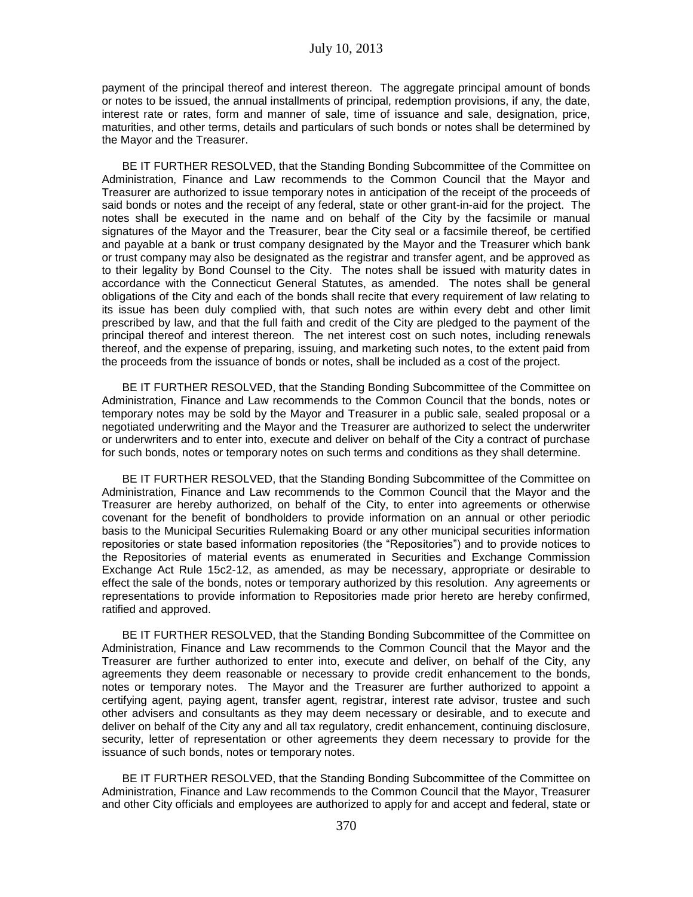payment of the principal thereof and interest thereon. The aggregate principal amount of bonds or notes to be issued, the annual installments of principal, redemption provisions, if any, the date, interest rate or rates, form and manner of sale, time of issuance and sale, designation, price, maturities, and other terms, details and particulars of such bonds or notes shall be determined by the Mayor and the Treasurer.

BE IT FURTHER RESOLVED, that the Standing Bonding Subcommittee of the Committee on Administration, Finance and Law recommends to the Common Council that the Mayor and Treasurer are authorized to issue temporary notes in anticipation of the receipt of the proceeds of said bonds or notes and the receipt of any federal, state or other grant-in-aid for the project. The notes shall be executed in the name and on behalf of the City by the facsimile or manual signatures of the Mayor and the Treasurer, bear the City seal or a facsimile thereof, be certified and payable at a bank or trust company designated by the Mayor and the Treasurer which bank or trust company may also be designated as the registrar and transfer agent, and be approved as to their legality by Bond Counsel to the City. The notes shall be issued with maturity dates in accordance with the Connecticut General Statutes, as amended. The notes shall be general obligations of the City and each of the bonds shall recite that every requirement of law relating to its issue has been duly complied with, that such notes are within every debt and other limit prescribed by law, and that the full faith and credit of the City are pledged to the payment of the principal thereof and interest thereon. The net interest cost on such notes, including renewals thereof, and the expense of preparing, issuing, and marketing such notes, to the extent paid from the proceeds from the issuance of bonds or notes, shall be included as a cost of the project.

BE IT FURTHER RESOLVED, that the Standing Bonding Subcommittee of the Committee on Administration, Finance and Law recommends to the Common Council that the bonds, notes or temporary notes may be sold by the Mayor and Treasurer in a public sale, sealed proposal or a negotiated underwriting and the Mayor and the Treasurer are authorized to select the underwriter or underwriters and to enter into, execute and deliver on behalf of the City a contract of purchase for such bonds, notes or temporary notes on such terms and conditions as they shall determine.

BE IT FURTHER RESOLVED, that the Standing Bonding Subcommittee of the Committee on Administration, Finance and Law recommends to the Common Council that the Mayor and the Treasurer are hereby authorized, on behalf of the City, to enter into agreements or otherwise covenant for the benefit of bondholders to provide information on an annual or other periodic basis to the Municipal Securities Rulemaking Board or any other municipal securities information repositories or state based information repositories (the "Repositories") and to provide notices to the Repositories of material events as enumerated in Securities and Exchange Commission Exchange Act Rule 15c2-12, as amended, as may be necessary, appropriate or desirable to effect the sale of the bonds, notes or temporary authorized by this resolution. Any agreements or representations to provide information to Repositories made prior hereto are hereby confirmed, ratified and approved.

BE IT FURTHER RESOLVED, that the Standing Bonding Subcommittee of the Committee on Administration, Finance and Law recommends to the Common Council that the Mayor and the Treasurer are further authorized to enter into, execute and deliver, on behalf of the City, any agreements they deem reasonable or necessary to provide credit enhancement to the bonds, notes or temporary notes. The Mayor and the Treasurer are further authorized to appoint a certifying agent, paying agent, transfer agent, registrar, interest rate advisor, trustee and such other advisers and consultants as they may deem necessary or desirable, and to execute and deliver on behalf of the City any and all tax regulatory, credit enhancement, continuing disclosure, security, letter of representation or other agreements they deem necessary to provide for the issuance of such bonds, notes or temporary notes.

BE IT FURTHER RESOLVED, that the Standing Bonding Subcommittee of the Committee on Administration, Finance and Law recommends to the Common Council that the Mayor, Treasurer and other City officials and employees are authorized to apply for and accept and federal, state or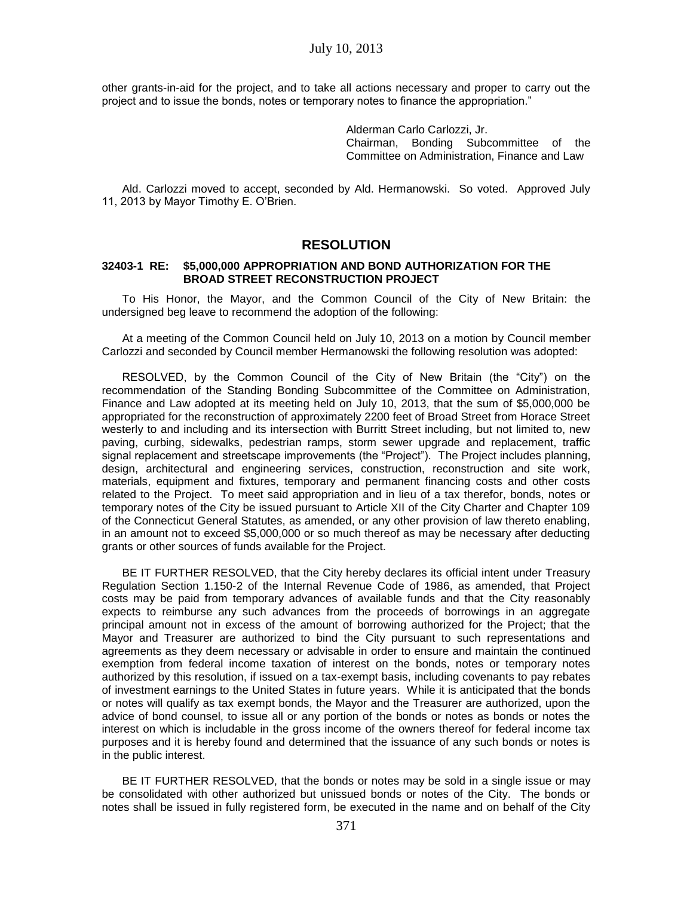other grants-in-aid for the project, and to take all actions necessary and proper to carry out the project and to issue the bonds, notes or temporary notes to finance the appropriation."

> Alderman Carlo Carlozzi, Jr. Chairman, Bonding Subcommittee of the Committee on Administration, Finance and Law

Ald. Carlozzi moved to accept, seconded by Ald. Hermanowski. So voted. Approved July 11, 2013 by Mayor Timothy E. O'Brien.

### **RESOLUTION**

#### **32403-1 RE: \$5,000,000 APPROPRIATION AND BOND AUTHORIZATION FOR THE BROAD STREET RECONSTRUCTION PROJECT**

To His Honor, the Mayor, and the Common Council of the City of New Britain: the undersigned beg leave to recommend the adoption of the following:

At a meeting of the Common Council held on July 10, 2013 on a motion by Council member Carlozzi and seconded by Council member Hermanowski the following resolution was adopted:

RESOLVED, by the Common Council of the City of New Britain (the "City") on the recommendation of the Standing Bonding Subcommittee of the Committee on Administration, Finance and Law adopted at its meeting held on July 10, 2013, that the sum of \$5,000,000 be appropriated for the reconstruction of approximately 2200 feet of Broad Street from Horace Street westerly to and including and its intersection with Burritt Street including, but not limited to, new paving, curbing, sidewalks, pedestrian ramps, storm sewer upgrade and replacement, traffic signal replacement and streetscape improvements (the "Project"). The Project includes planning, design, architectural and engineering services, construction, reconstruction and site work, materials, equipment and fixtures, temporary and permanent financing costs and other costs related to the Project. To meet said appropriation and in lieu of a tax therefor, bonds, notes or temporary notes of the City be issued pursuant to Article XII of the City Charter and Chapter 109 of the Connecticut General Statutes, as amended, or any other provision of law thereto enabling, in an amount not to exceed \$5,000,000 or so much thereof as may be necessary after deducting grants or other sources of funds available for the Project.

BE IT FURTHER RESOLVED, that the City hereby declares its official intent under Treasury Regulation Section 1.150-2 of the Internal Revenue Code of 1986, as amended, that Project costs may be paid from temporary advances of available funds and that the City reasonably expects to reimburse any such advances from the proceeds of borrowings in an aggregate principal amount not in excess of the amount of borrowing authorized for the Project; that the Mayor and Treasurer are authorized to bind the City pursuant to such representations and agreements as they deem necessary or advisable in order to ensure and maintain the continued exemption from federal income taxation of interest on the bonds, notes or temporary notes authorized by this resolution, if issued on a tax-exempt basis, including covenants to pay rebates of investment earnings to the United States in future years. While it is anticipated that the bonds or notes will qualify as tax exempt bonds, the Mayor and the Treasurer are authorized, upon the advice of bond counsel, to issue all or any portion of the bonds or notes as bonds or notes the interest on which is includable in the gross income of the owners thereof for federal income tax purposes and it is hereby found and determined that the issuance of any such bonds or notes is in the public interest.

BE IT FURTHER RESOLVED, that the bonds or notes may be sold in a single issue or may be consolidated with other authorized but unissued bonds or notes of the City. The bonds or notes shall be issued in fully registered form, be executed in the name and on behalf of the City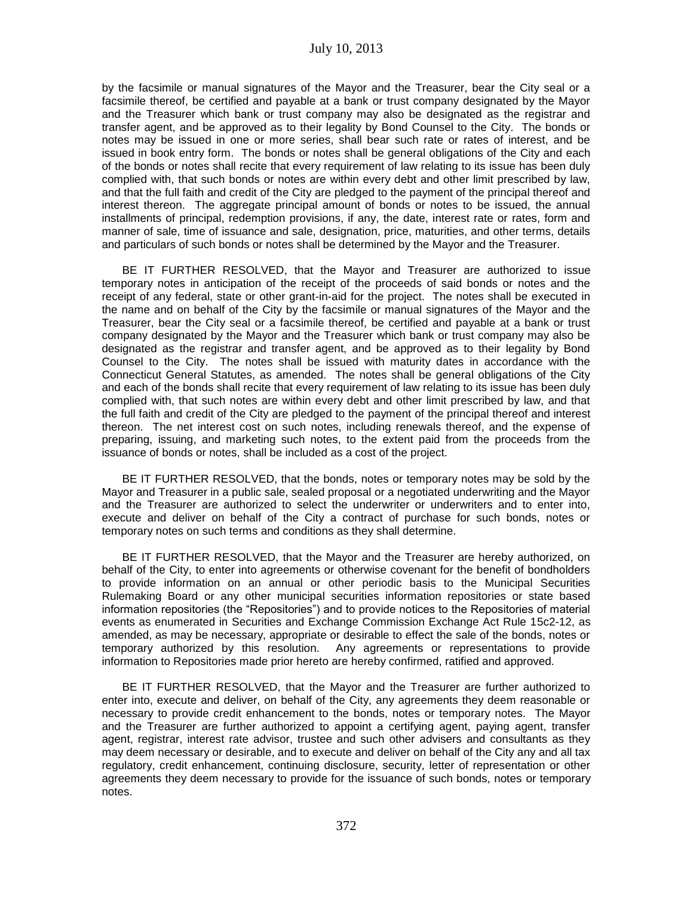by the facsimile or manual signatures of the Mayor and the Treasurer, bear the City seal or a facsimile thereof, be certified and payable at a bank or trust company designated by the Mayor and the Treasurer which bank or trust company may also be designated as the registrar and transfer agent, and be approved as to their legality by Bond Counsel to the City. The bonds or notes may be issued in one or more series, shall bear such rate or rates of interest, and be issued in book entry form. The bonds or notes shall be general obligations of the City and each of the bonds or notes shall recite that every requirement of law relating to its issue has been duly complied with, that such bonds or notes are within every debt and other limit prescribed by law, and that the full faith and credit of the City are pledged to the payment of the principal thereof and interest thereon. The aggregate principal amount of bonds or notes to be issued, the annual installments of principal, redemption provisions, if any, the date, interest rate or rates, form and manner of sale, time of issuance and sale, designation, price, maturities, and other terms, details and particulars of such bonds or notes shall be determined by the Mayor and the Treasurer.

BE IT FURTHER RESOLVED, that the Mayor and Treasurer are authorized to issue temporary notes in anticipation of the receipt of the proceeds of said bonds or notes and the receipt of any federal, state or other grant-in-aid for the project. The notes shall be executed in the name and on behalf of the City by the facsimile or manual signatures of the Mayor and the Treasurer, bear the City seal or a facsimile thereof, be certified and payable at a bank or trust company designated by the Mayor and the Treasurer which bank or trust company may also be designated as the registrar and transfer agent, and be approved as to their legality by Bond Counsel to the City. The notes shall be issued with maturity dates in accordance with the Connecticut General Statutes, as amended. The notes shall be general obligations of the City and each of the bonds shall recite that every requirement of law relating to its issue has been duly complied with, that such notes are within every debt and other limit prescribed by law, and that the full faith and credit of the City are pledged to the payment of the principal thereof and interest thereon. The net interest cost on such notes, including renewals thereof, and the expense of preparing, issuing, and marketing such notes, to the extent paid from the proceeds from the issuance of bonds or notes, shall be included as a cost of the project.

BE IT FURTHER RESOLVED, that the bonds, notes or temporary notes may be sold by the Mayor and Treasurer in a public sale, sealed proposal or a negotiated underwriting and the Mayor and the Treasurer are authorized to select the underwriter or underwriters and to enter into, execute and deliver on behalf of the City a contract of purchase for such bonds, notes or temporary notes on such terms and conditions as they shall determine.

BE IT FURTHER RESOLVED, that the Mayor and the Treasurer are hereby authorized, on behalf of the City, to enter into agreements or otherwise covenant for the benefit of bondholders to provide information on an annual or other periodic basis to the Municipal Securities Rulemaking Board or any other municipal securities information repositories or state based information repositories (the "Repositories") and to provide notices to the Repositories of material events as enumerated in Securities and Exchange Commission Exchange Act Rule 15c2-12, as amended, as may be necessary, appropriate or desirable to effect the sale of the bonds, notes or temporary authorized by this resolution. Any agreements or representations to provide information to Repositories made prior hereto are hereby confirmed, ratified and approved.

BE IT FURTHER RESOLVED, that the Mayor and the Treasurer are further authorized to enter into, execute and deliver, on behalf of the City, any agreements they deem reasonable or necessary to provide credit enhancement to the bonds, notes or temporary notes. The Mayor and the Treasurer are further authorized to appoint a certifying agent, paying agent, transfer agent, registrar, interest rate advisor, trustee and such other advisers and consultants as they may deem necessary or desirable, and to execute and deliver on behalf of the City any and all tax regulatory, credit enhancement, continuing disclosure, security, letter of representation or other agreements they deem necessary to provide for the issuance of such bonds, notes or temporary notes.